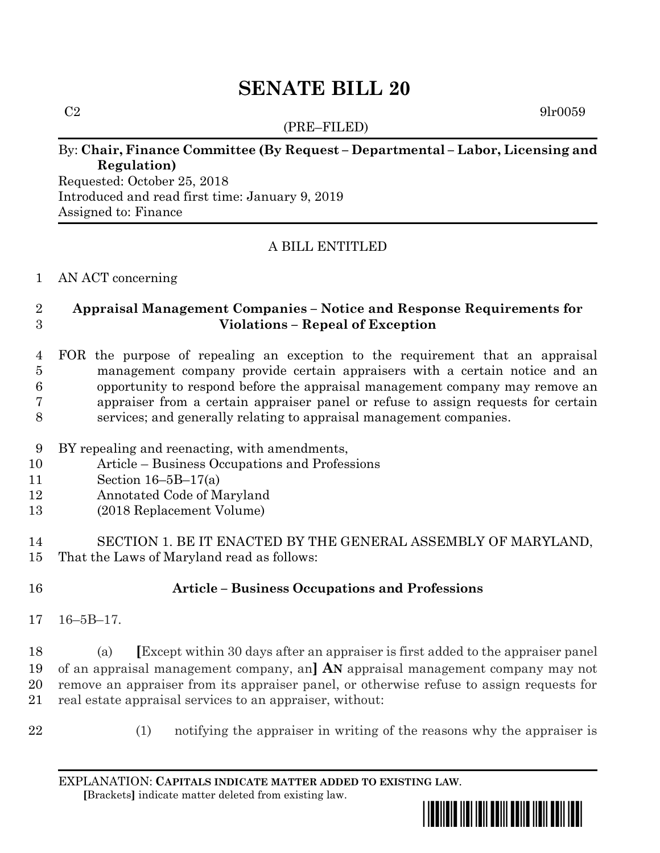# **SENATE BILL 20**

(PRE–FILED)

 $C2 \t\t 9lr0059$ 

### By: **Chair, Finance Committee (By Request – Departmental – Labor, Licensing and Regulation)**

Requested: October 25, 2018 Introduced and read first time: January 9, 2019 Assigned to: Finance

## A BILL ENTITLED

#### AN ACT concerning

### **Appraisal Management Companies – Notice and Response Requirements for Violations – Repeal of Exception**

 FOR the purpose of repealing an exception to the requirement that an appraisal management company provide certain appraisers with a certain notice and an opportunity to respond before the appraisal management company may remove an appraiser from a certain appraiser panel or refuse to assign requests for certain services; and generally relating to appraisal management companies.

- BY repealing and reenacting, with amendments,
- Article Business Occupations and Professions
- Section 16–5B–17(a)
- Annotated Code of Maryland
- (2018 Replacement Volume)

 SECTION 1. BE IT ENACTED BY THE GENERAL ASSEMBLY OF MARYLAND, That the Laws of Maryland read as follows:

# **Article – Business Occupations and Professions**

16–5B–17.

 (a) **[**Except within 30 days after an appraiser is first added to the appraiser panel of an appraisal management company, an**] AN** appraisal management company may not remove an appraiser from its appraiser panel, or otherwise refuse to assign requests for real estate appraisal services to an appraiser, without:

- 
- (1) notifying the appraiser in writing of the reasons why the appraiser is

EXPLANATION: **CAPITALS INDICATE MATTER ADDED TO EXISTING LAW**.  **[**Brackets**]** indicate matter deleted from existing law.